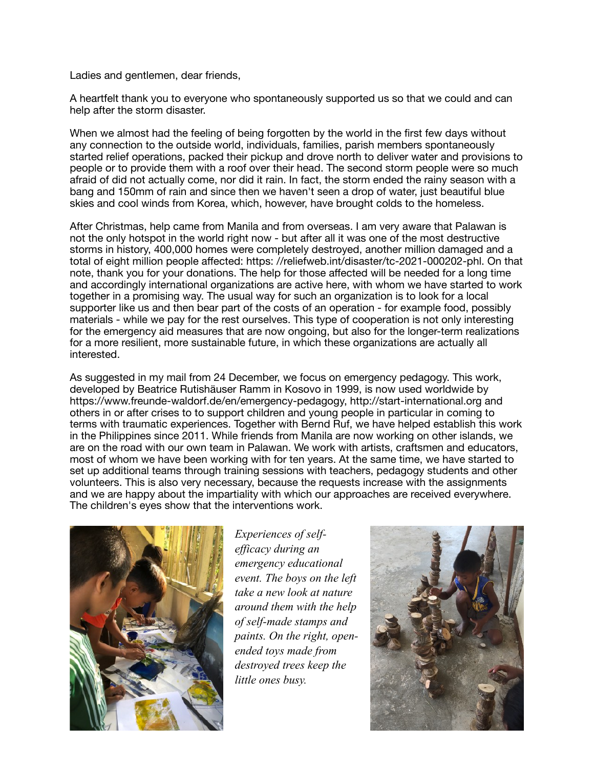Ladies and gentlemen, dear friends,

A heartfelt thank you to everyone who spontaneously supported us so that we could and can help after the storm disaster.

When we almost had the feeling of being forgotten by the world in the first few days without any connection to the outside world, individuals, families, parish members spontaneously started relief operations, packed their pickup and drove north to deliver water and provisions to people or to provide them with a roof over their head. The second storm people were so much afraid of did not actually come, nor did it rain. In fact, the storm ended the rainy season with a bang and 150mm of rain and since then we haven't seen a drop of water, just beautiful blue skies and cool winds from Korea, which, however, have brought colds to the homeless.

After Christmas, help came from Manila and from overseas. I am very aware that Palawan is not the only hotspot in the world right now - but after all it was one of the most destructive storms in history, 400,000 homes were completely destroyed, another million damaged and a total of eight million people affected: https: //reliefweb.int/disaster/tc-2021-000202-phl. On that note, thank you for your donations. The help for those affected will be needed for a long time and accordingly international organizations are active here, with whom we have started to work together in a promising way. The usual way for such an organization is to look for a local supporter like us and then bear part of the costs of an operation - for example food, possibly materials - while we pay for the rest ourselves. This type of cooperation is not only interesting for the emergency aid measures that are now ongoing, but also for the longer-term realizations for a more resilient, more sustainable future, in which these organizations are actually all interested.

As suggested in my mail from 24 December, we focus on emergency pedagogy. This work, developed by Beatrice Rutishäuser Ramm in Kosovo in 1999, is now used worldwide by https://www.freunde-waldorf.de/en/emergency-pedagogy, http://start-international.org and others in or after crises to to support children and young people in particular in coming to terms with traumatic experiences. Together with Bernd Ruf, we have helped establish this work in the Philippines since 2011. While friends from Manila are now working on other islands, we are on the road with our own team in Palawan. We work with artists, craftsmen and educators, most of whom we have been working with for ten years. At the same time, we have started to set up additional teams through training sessions with teachers, pedagogy students and other volunteers. This is also very necessary, because the requests increase with the assignments and we are happy about the impartiality with which our approaches are received everywhere. The children's eyes show that the interventions work.



*Experiences of selfefficacy during an emergency educational event. The boys on the left take a new look at nature around them with the help of self-made stamps and paints. On the right, openended toys made from destroyed trees keep the little ones busy.* 

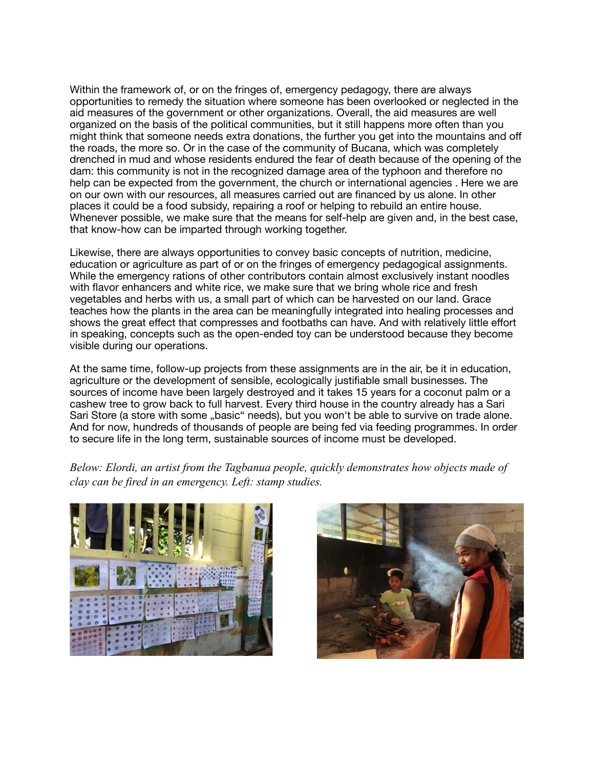Within the framework of, or on the fringes of, emergency pedagogy, there are always opportunities to remedy the situation where someone has been overlooked or neglected in the aid measures of the government or other organizations. Overall, the aid measures are well organized on the basis of the political communities, but it still happens more often than you might think that someone needs extra donations, the further you get into the mountains and off the roads, the more so. Or in the case of the community of Bucana, which was completely drenched in mud and whose residents endured the fear of death because of the opening of the dam: this community is not in the recognized damage area of the typhoon and therefore no help can be expected from the government, the church or international agencies . Here we are on our own with our resources, all measures carried out are financed by us alone. In other places it could be a food subsidy, repairing a roof or helping to rebuild an entire house. Whenever possible, we make sure that the means for self-help are given and, in the best case, that know-how can be imparted through working together.

Likewise, there are always opportunities to convey basic concepts of nutrition, medicine, education or agriculture as part of or on the fringes of emergency pedagogical assignments. While the emergency rations of other contributors contain almost exclusively instant noodles with flavor enhancers and white rice, we make sure that we bring whole rice and fresh vegetables and herbs with us, a small part of which can be harvested on our land. Grace teaches how the plants in the area can be meaningfully integrated into healing processes and shows the great effect that compresses and footbaths can have. And with relatively little effort in speaking, concepts such as the open-ended toy can be understood because they become visible during our operations.

At the same time, follow-up projects from these assignments are in the air, be it in education, agriculture or the development of sensible, ecologically justifiable small businesses. The sources of income have been largely destroyed and it takes 15 years for a coconut palm or a cashew tree to grow back to full harvest. Every third house in the country already has a Sari Sari Store (a store with some "basic" needs), but you won't be able to survive on trade alone. And for now, hundreds of thousands of people are being fed via feeding programmes. In order to secure life in the long term, sustainable sources of income must be developed.

*Below: Elordi, an artist from the Tagbanua people, quickly demonstrates how objects made of clay can be fired in an emergency. Left: stamp studies.*



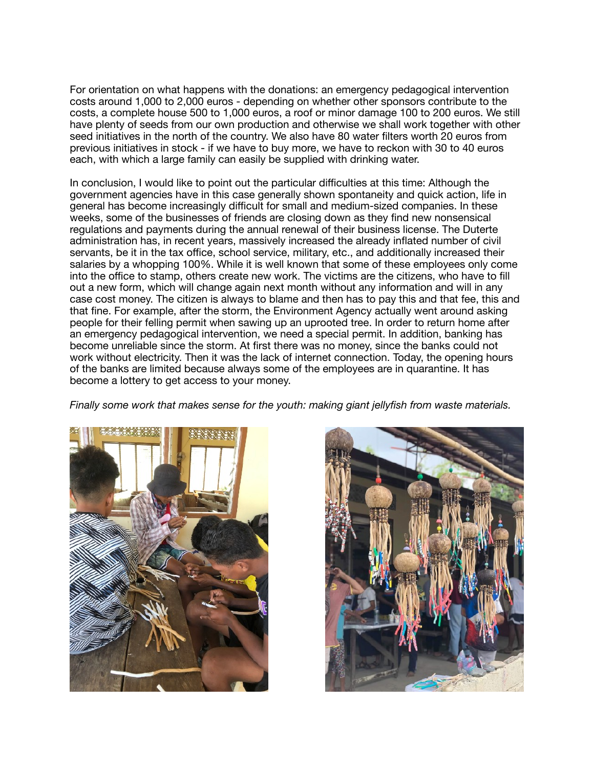For orientation on what happens with the donations: an emergency pedagogical intervention costs around 1,000 to 2,000 euros - depending on whether other sponsors contribute to the costs, a complete house 500 to 1,000 euros, a roof or minor damage 100 to 200 euros. We still have plenty of seeds from our own production and otherwise we shall work together with other seed initiatives in the north of the country. We also have 80 water filters worth 20 euros from previous initiatives in stock - if we have to buy more, we have to reckon with 30 to 40 euros each, with which a large family can easily be supplied with drinking water.

In conclusion, I would like to point out the particular difficulties at this time: Although the government agencies have in this case generally shown spontaneity and quick action, life in general has become increasingly difficult for small and medium-sized companies. In these weeks, some of the businesses of friends are closing down as they find new nonsensical regulations and payments during the annual renewal of their business license. The Duterte administration has, in recent years, massively increased the already inflated number of civil servants, be it in the tax office, school service, military, etc., and additionally increased their salaries by a whopping 100%. While it is well known that some of these employees only come into the office to stamp, others create new work. The victims are the citizens, who have to fill out a new form, which will change again next month without any information and will in any case cost money. The citizen is always to blame and then has to pay this and that fee, this and that fine. For example, after the storm, the Environment Agency actually went around asking people for their felling permit when sawing up an uprooted tree. In order to return home after an emergency pedagogical intervention, we need a special permit. In addition, banking has become unreliable since the storm. At first there was no money, since the banks could not work without electricity. Then it was the lack of internet connection. Today, the opening hours of the banks are limited because always some of the employees are in quarantine. It has become a lottery to get access to your money.

*Finally some work that makes sense for the youth: making giant jellyfish from waste materials.*